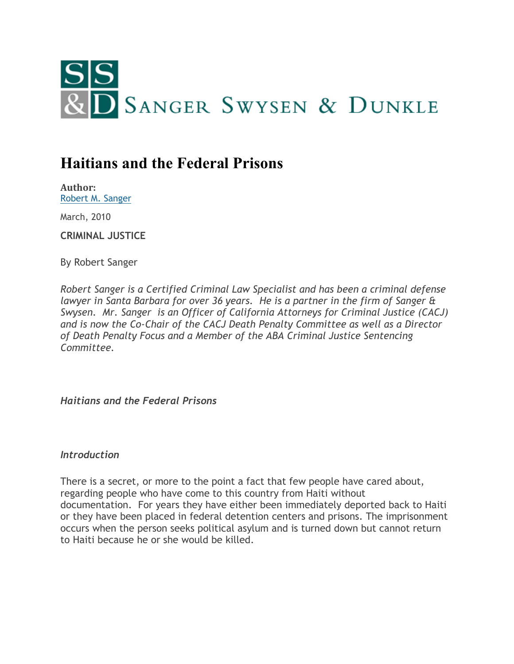

# **Haitians and the Federal Prisons**

**Author:** [Robert M. Sanger](http://www.sangerswysen.com/robert-m-sanger)

March, 2010

**CRIMINAL JUSTICE**

By Robert Sanger

*Robert Sanger is a Certified Criminal Law Specialist and has been a criminal defense lawyer in Santa Barbara for over 36 years. He is a partner in the firm of Sanger & Swysen. Mr. Sanger is an Officer of California Attorneys for Criminal Justice (CACJ) and is now the Co-Chair of the CACJ Death Penalty Committee as well as a Director of Death Penalty Focus and a Member of the ABA Criminal Justice Sentencing Committee.*

*Haitians and the Federal Prisons*

#### *Introduction*

There is a secret, or more to the point a fact that few people have cared about, regarding people who have come to this country from Haiti without documentation. For years they have either been immediately deported back to Haiti or they have been placed in federal detention centers and prisons. The imprisonment occurs when the person seeks political asylum and is turned down but cannot return to Haiti because he or she would be killed.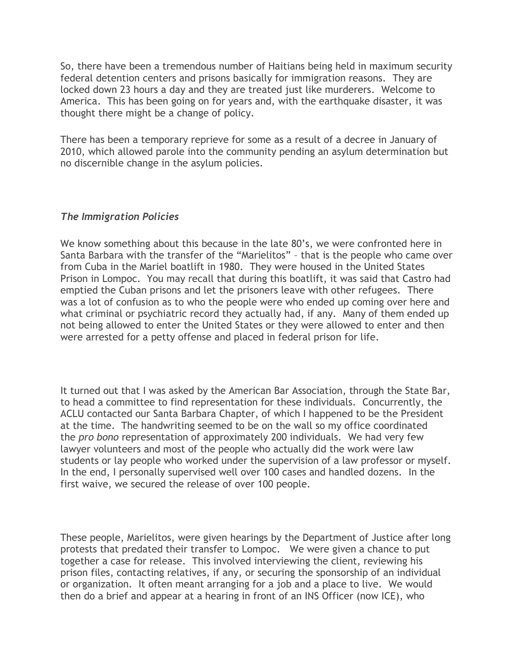So, there have been a tremendous number of Haitians being held in maximum security federal detention centers and prisons basically for immigration reasons. They are locked down 23 hours a day and they are treated just like murderers. Welcome to America. This has been going on for years and, with the earthquake disaster, it was thought there might be a change of policy.

There has been a temporary reprieve for some as a result of a decree in January of 2010, which allowed parole into the community pending an asylum determination but no discernible change in the asylum policies.

### *The Immigration Policies*

We know something about this because in the late 80's, we were confronted here in Santa Barbara with the transfer of the "Marielitos" – that is the people who came over from Cuba in the Mariel boatlift in 1980. They were housed in the United States Prison in Lompoc. You may recall that during this boatlift, it was said that Castro had emptied the Cuban prisons and let the prisoners leave with other refugees. There was a lot of confusion as to who the people were who ended up coming over here and what criminal or psychiatric record they actually had, if any. Many of them ended up not being allowed to enter the United States or they were allowed to enter and then were arrested for a petty offense and placed in federal prison for life.

It turned out that I was asked by the American Bar Association, through the State Bar, to head a committee to find representation for these individuals. Concurrently, the ACLU contacted our Santa Barbara Chapter, of which I happened to be the President at the time. The handwriting seemed to be on the wall so my office coordinated the *pro bono* representation of approximately 200 individuals. We had very few lawyer volunteers and most of the people who actually did the work were law students or lay people who worked under the supervision of a law professor or myself. In the end, I personally supervised well over 100 cases and handled dozens. In the first waive, we secured the release of over 100 people.

These people, Marielitos, were given hearings by the Department of Justice after long protests that predated their transfer to Lompoc. We were given a chance to put together a case for release. This involved interviewing the client, reviewing his prison files, contacting relatives, if any, or securing the sponsorship of an individual or organization. It often meant arranging for a job and a place to live. We would then do a brief and appear at a hearing in front of an INS Officer (now ICE), who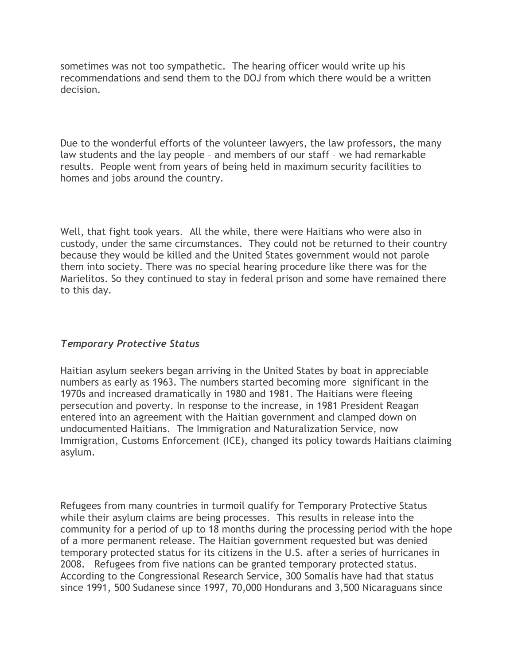sometimes was not too sympathetic. The hearing officer would write up his recommendations and send them to the DOJ from which there would be a written decision.

Due to the wonderful efforts of the volunteer lawyers, the law professors, the many law students and the lay people – and members of our staff – we had remarkable results. People went from years of being held in maximum security facilities to homes and jobs around the country.

Well, that fight took years. All the while, there were Haitians who were also in custody, under the same circumstances. They could not be returned to their country because they would be killed and the United States government would not parole them into society. There was no special hearing procedure like there was for the Marielitos. So they continued to stay in federal prison and some have remained there to this day.

## *Temporary Protective Status*

Haitian asylum seekers began arriving in the United States by boat in appreciable numbers as early as 1963. The numbers started becoming more significant in the 1970s and increased dramatically in 1980 and 1981. The Haitians were fleeing persecution and poverty. In response to the increase, in 1981 President Reagan entered into an agreement with the Haitian government and clamped down on undocumented Haitians. The Immigration and Naturalization Service, now Immigration, Customs Enforcement (ICE), changed its policy towards Haitians claiming asylum.

Refugees from many countries in turmoil qualify for Temporary Protective Status while their asylum claims are being processes. This results in release into the community for a period of up to 18 months during the processing period with the hope of a more permanent release. The Haitian government requested but was denied temporary protected status for its citizens in the U.S. after a series of hurricanes in 2008. Refugees from five nations can be granted temporary protected status. According to the Congressional Research Service, 300 Somalis have had that status since 1991, 500 Sudanese since 1997, 70,000 Hondurans and 3,500 Nicaraguans since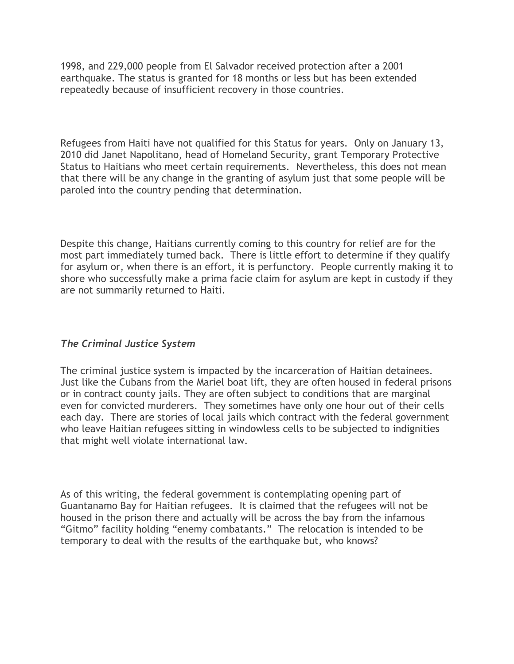1998, and 229,000 people from El Salvador received protection after a 2001 earthquake. The status is granted for 18 months or less but has been extended repeatedly because of insufficient recovery in those countries.

Refugees from Haiti have not qualified for this Status for years. Only on January 13, 2010 did Janet Napolitano, head of Homeland Security, grant Temporary Protective Status to Haitians who meet certain requirements. Nevertheless, this does not mean that there will be any change in the granting of asylum just that some people will be paroled into the country pending that determination.

Despite this change, Haitians currently coming to this country for relief are for the most part immediately turned back. There is little effort to determine if they qualify for asylum or, when there is an effort, it is perfunctory. People currently making it to shore who successfully make a prima facie claim for asylum are kept in custody if they are not summarily returned to Haiti.

## *The Criminal Justice System*

The criminal justice system is impacted by the incarceration of Haitian detainees. Just like the Cubans from the Mariel boat lift, they are often housed in federal prisons or in contract county jails. They are often subject to conditions that are marginal even for convicted murderers. They sometimes have only one hour out of their cells each day. There are stories of local jails which contract with the federal government who leave Haitian refugees sitting in windowless cells to be subjected to indignities that might well violate international law.

As of this writing, the federal government is contemplating opening part of Guantanamo Bay for Haitian refugees. It is claimed that the refugees will not be housed in the prison there and actually will be across the bay from the infamous "Gitmo" facility holding "enemy combatants." The relocation is intended to be temporary to deal with the results of the earthquake but, who knows?